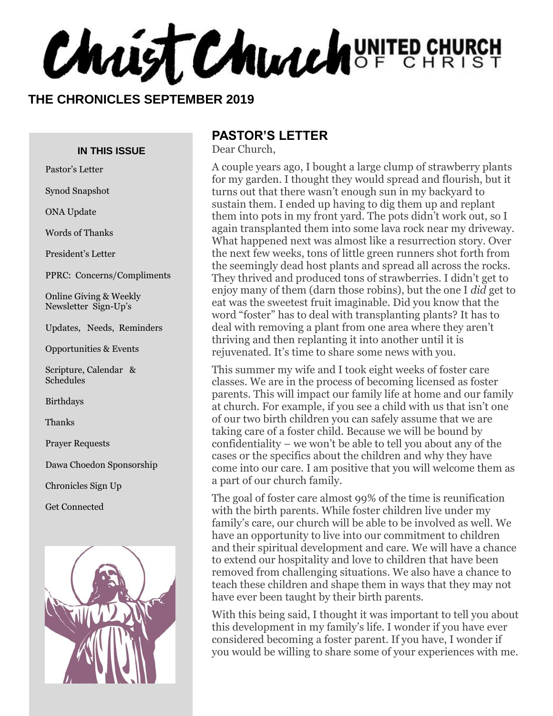**Christ Church** UNITED CHURCH

#### **THE CHRONICLES SEPTEMBER 2019**

#### **IN THIS ISSUE**

Pastor's Letter

Synod Snapshot

ONA Update

Words of Thanks

President's Letter

PPRC: Concerns/Compliments

Online Giving & Weekly Newsletter Sign-Up's

Updates, Needs, Reminders

Opportunities & Events

Scripture, Calendar & Schedules

Birthdays

Thanks

Prayer Requests

Dawa Choedon Sponsorship

Chronicles Sign Up

Get Connected



### **PASTOR'S LETTER**

Dear Church,

A couple years ago, I bought a large clump of strawberry plants for my garden. I thought they would spread and flourish, but it turns out that there wasn't enough sun in my backyard to sustain them. I ended up having to dig them up and replant them into pots in my front yard. The pots didn't work out, so I again transplanted them into some lava rock near my driveway. What happened next was almost like a resurrection story. Over the next few weeks, tons of little green runners shot forth from the seemingly dead host plants and spread all across the rocks. They thrived and produced tons of strawberries. I didn't get to enjoy many of them (darn those robins), but the one I *did* get to eat was the sweetest fruit imaginable. Did you know that the word "foster" has to deal with transplanting plants? It has to deal with removing a plant from one area where they aren't thriving and then replanting it into another until it is rejuvenated. It's time to share some news with you.

This summer my wife and I took eight weeks of foster care classes. We are in the process of becoming licensed as foster parents. This will impact our family life at home and our family at church. For example, if you see a child with us that isn't one of our two birth children you can safely assume that we are taking care of a foster child. Because we will be bound by confidentiality – we won't be able to tell you about any of the cases or the specifics about the children and why they have come into our care. I am positive that you will welcome them as a part of our church family.

The goal of foster care almost 99% of the time is reunification with the birth parents. While foster children live under my family's care, our church will be able to be involved as well. We have an opportunity to live into our commitment to children and their spiritual development and care. We will have a chance to extend our hospitality and love to children that have been removed from challenging situations. We also have a chance to teach these children and shape them in ways that they may not have ever been taught by their birth parents.

With this being said, I thought it was important to tell you about this development in my family's life. I wonder if you have ever considered becoming a foster parent. If you have, I wonder if you would be willing to share some of your experiences with me.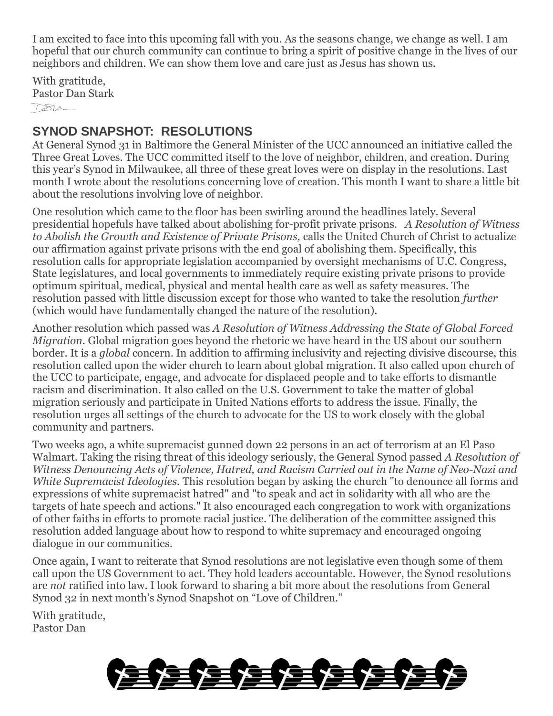I am excited to face into this upcoming fall with you. As the seasons change, we change as well. I am hopeful that our church community can continue to bring a spirit of positive change in the lives of our neighbors and children. We can show them love and care just as Jesus has shown us.

With gratitude, Pastor Dan Stark  $180-$ 

### **SYNOD SNAPSHOT: RESOLUTIONS**

At General Synod 31 in Baltimore the General Minister of the UCC announced an initiative called the Three Great Loves. The UCC committed itself to the love of neighbor, children, and creation. During this year's Synod in Milwaukee, all three of these great loves were on display in the resolutions. Last month I wrote about the resolutions concerning love of creation. This month I want to share a little bit about the resolutions involving love of neighbor.

One resolution which came to the floor has been swirling around the headlines lately. Several presidential hopefuls have talked about abolishing for-profit private prisons. *A Resolution of Witness to Abolish the Growth and Existence of Private Prisons,* calls the United Church of Christ to actualize our affirmation against private prisons with the end goal of abolishing them. Specifically, this resolution calls for appropriate legislation accompanied by oversight mechanisms of U.C. Congress, State legislatures, and local governments to immediately require existing private prisons to provide optimum spiritual, medical, physical and mental health care as well as safety measures. The resolution passed with little discussion except for those who wanted to take the resolution *further*  (which would have fundamentally changed the nature of the resolution).

Another resolution which passed was *A Resolution of Witness Addressing the State of Global Forced Migration.* Global migration goes beyond the rhetoric we have heard in the US about our southern border. It is a *global* concern. In addition to affirming inclusivity and rejecting divisive discourse, this resolution called upon the wider church to learn about global migration. It also called upon church of the UCC to participate, engage, and advocate for displaced people and to take efforts to dismantle racism and discrimination. It also called on the U.S. Government to take the matter of global migration seriously and participate in United Nations efforts to address the issue. Finally, the resolution urges all settings of the church to advocate for the US to work closely with the global community and partners.

Two weeks ago, a white supremacist gunned down 22 persons in an act of terrorism at an El Paso Walmart. Taking the rising threat of this ideology seriously, the General Synod passed *A Resolution of Witness Denouncing Acts of Violence, Hatred, and Racism Carried out in the Name of Neo-Nazi and White Supremacist Ideologies.* This resolution began by asking the church "to denounce all forms and expressions of white supremacist hatred" and "to speak and act in solidarity with all who are the targets of hate speech and actions." It also encouraged each congregation to work with organizations of other faiths in efforts to promote racial justice. The deliberation of the committee assigned this resolution added language about how to respond to white supremacy and encouraged ongoing dialogue in our communities.

Once again, I want to reiterate that Synod resolutions are not legislative even though some of them call upon the US Government to act. They hold leaders accountable. However, the Synod resolutions are *not* ratified into law. I look forward to sharing a bit more about the resolutions from General Synod 32 in next month's Synod Snapshot on "Love of Children."

With gratitude, Pastor Dan

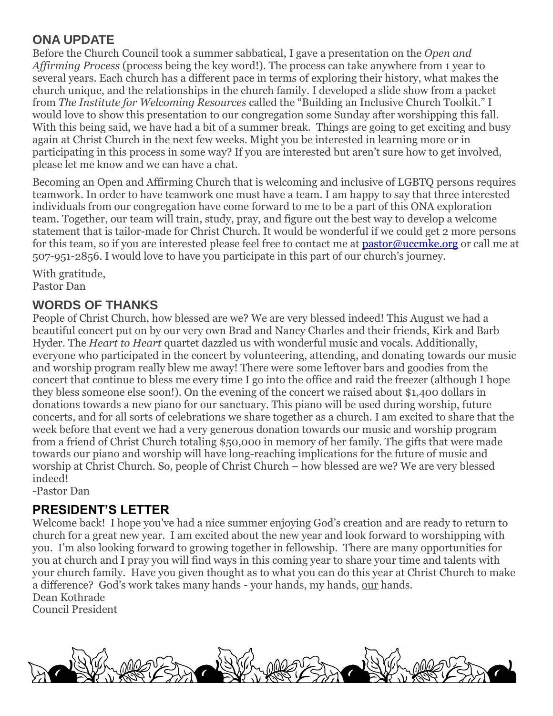### **ONA UPDATE**

Before the Church Council took a summer sabbatical, I gave a presentation on the *Open and Affirming Process* (process being the key word!). The process can take anywhere from 1 year to several years. Each church has a different pace in terms of exploring their history, what makes the church unique, and the relationships in the church family. I developed a slide show from a packet from *The Institute for Welcoming Resources* called the "Building an Inclusive Church Toolkit." I would love to show this presentation to our congregation some Sunday after worshipping this fall. With this being said, we have had a bit of a summer break. Things are going to get exciting and busy again at Christ Church in the next few weeks. Might you be interested in learning more or in participating in this process in some way? If you are interested but aren't sure how to get involved, please let me know and we can have a chat.

Becoming an Open and Affirming Church that is welcoming and inclusive of LGBTQ persons requires teamwork. In order to have teamwork one must have a team. I am happy to say that three interested individuals from our congregation have come forward to me to be a part of this ONA exploration team. Together, our team will train, study, pray, and figure out the best way to develop a welcome statement that is tailor-made for Christ Church. It would be wonderful if we could get 2 more persons for this team, so if you are interested please feel free to contact me at [pastor@uccmke.org](mailto:pastor@uccmke.org) or call me at 507-951-2856. I would love to have you participate in this part of our church's journey.

With gratitude, Pastor Dan

### **WORDS OF THANKS**

People of Christ Church, how blessed are we? We are very blessed indeed! This August we had a beautiful concert put on by our very own Brad and Nancy Charles and their friends, Kirk and Barb Hyder. The *Heart to Heart* quartet dazzled us with wonderful music and vocals. Additionally, everyone who participated in the concert by volunteering, attending, and donating towards our music and worship program really blew me away! There were some leftover bars and goodies from the concert that continue to bless me every time I go into the office and raid the freezer (although I hope they bless someone else soon!). On the evening of the concert we raised about \$1,400 dollars in donations towards a new piano for our sanctuary. This piano will be used during worship, future concerts, and for all sorts of celebrations we share together as a church. I am excited to share that the week before that event we had a very generous donation towards our music and worship program from a friend of Christ Church totaling \$50,000 in memory of her family. The gifts that were made towards our piano and worship will have long-reaching implications for the future of music and worship at Christ Church. So, people of Christ Church – how blessed are we? We are very blessed indeed!

-Pastor Dan

### **PRESIDENT'S LETTER**

Welcome back! I hope you've had a nice summer enjoying God's creation and are ready to return to church for a great new year. I am excited about the new year and look forward to worshipping with you. I'm also looking forward to growing together in fellowship. There are many opportunities for you at church and I pray you will find ways in this coming year to share your time and talents with your church family. Have you given thought as to what you can do this year at Christ Church to make a difference? God's work takes many hands - your hands, my hands, our hands. Dean Kothrade

Council President

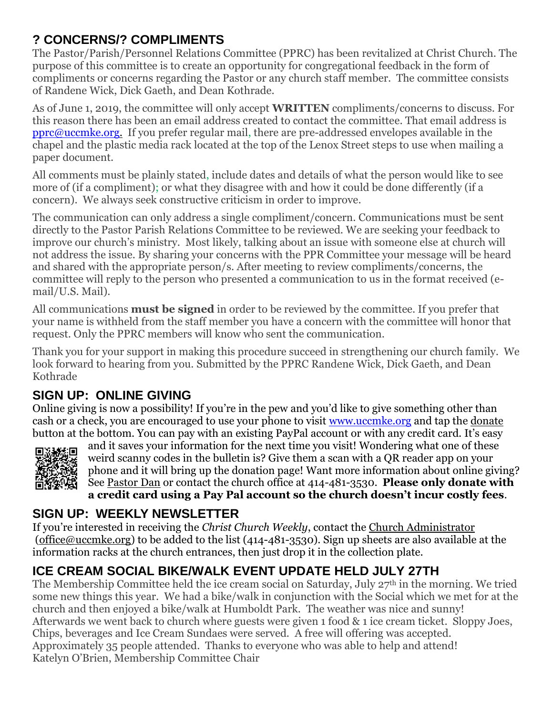### **? CONCERNS/? COMPLIMENTS**

The Pastor/Parish/Personnel Relations Committee (PPRC) has been revitalized at Christ Church. The purpose of this committee is to create an opportunity for congregational feedback in the form of compliments or concerns regarding the Pastor or any church staff member. The committee consists of Randene Wick, Dick Gaeth, and Dean Kothrade.

As of June 1, 2019, the committee will only accept **WRITTEN** compliments/concerns to discuss. For this reason there has been an email address created to contact the committee. That email address is [pprc@uccmke.org.](mailto:pprc@uccmke.org) If you prefer regular mail, there are pre-addressed envelopes available in the chapel and the plastic media rack located at the top of the Lenox Street steps to use when mailing a paper document.

All comments must be plainly stated, include dates and details of what the person would like to see more of (if a compliment); or what they disagree with and how it could be done differently (if a concern). We always seek constructive criticism in order to improve.

The communication can only address a single compliment/concern. Communications must be sent directly to the Pastor Parish Relations Committee to be reviewed. We are seeking your feedback to improve our church's ministry. Most likely, talking about an issue with someone else at church will not address the issue. By sharing your concerns with the PPR Committee your message will be heard and shared with the appropriate person/s. After meeting to review compliments/concerns, the committee will reply to the person who presented a communication to us in the format received (email/U.S. Mail).

All communications **must be signed** in order to be reviewed by the committee. If you prefer that your name is withheld from the staff member you have a concern with the committee will honor that request. Only the PPRC members will know who sent the communication.

Thank you for your support in making this procedure succeed in strengthening our church family. We look forward to hearing from you. Submitted by the PPRC Randene Wick, Dick Gaeth, and Dean Kothrade

### **SIGN UP: ONLINE GIVING**

Online giving is now a possibility! If you're in the pew and you'd like to give something other than cash or a check, you are encouraged to use your phone to visit [www.uccmke.org](http://www.uccmke.org/) and tap the [donate](https://www.paypal.com/cgi-bin/webscr?cmd=_s-xclick&hosted_button_id=D7W2VTZZBHZNU) button at the bottom. You can pay with an existing PayPal account or with any credit card. It's easy



and it saves your information for the next time you visit! Wondering what one of these weird scanny codes in the bulletin is? Give them a scan with a QR reader app on your phone and it will bring up the donation page! Want more information about online giving? See [Pastor Dan](mailto:dan_stark@att.net) or contact the church office at 414-481-3530. **Please only donate with a credit card using a Pay Pal account so the church doesn't incur costly fees**.

### **SIGN UP: WEEKLY NEWSLETTER**

If you're interested in receiving the *Christ Church Weekly*, contact the [Church Administrator](mailto:christ-church@att.net) (office@uccmke.org) to be added to the list (414-481-3530). Sign up sheets are also available at the information racks at the church entrances, then just drop it in the collection plate.

# **ICE CREAM SOCIAL BIKE/WALK EVENT UPDATE HELD JULY 27TH**

The Membership Committee held the ice cream social on Saturday, July 27<sup>th</sup> in the morning. We tried some new things this year. We had a bike/walk in conjunction with the Social which we met for at the church and then enjoyed a bike/walk at Humboldt Park. The weather was nice and sunny! Afterwards we went back to church where guests were given 1 food & 1 ice cream ticket. Sloppy Joes, Chips, beverages and Ice Cream Sundaes were served. A free will offering was accepted. Approximately 35 people attended. Thanks to everyone who was able to help and attend! Katelyn O'Brien, Membership Committee Chair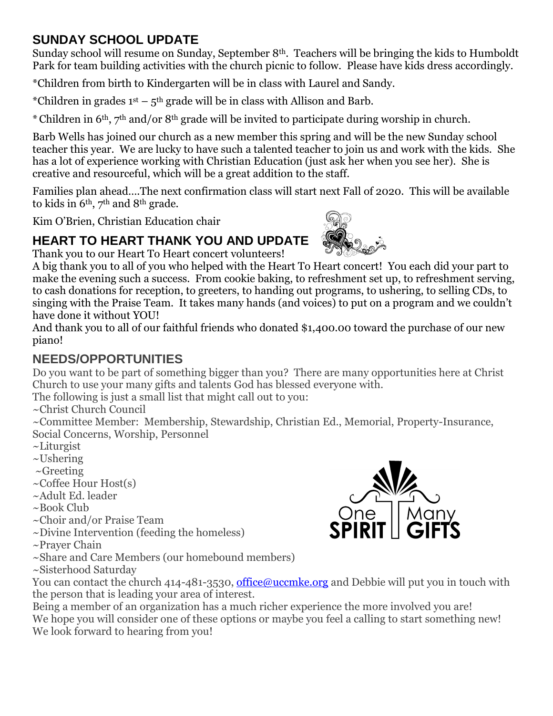### **SUNDAY SCHOOL UPDATE**

Sunday school will resume on Sunday, September 8<sup>th</sup>. Teachers will be bringing the kids to Humboldt Park for team building activities with the church picnic to follow. Please have kids dress accordingly.

\*Children from birth to Kindergarten will be in class with Laurel and Sandy.

\*Children in grades  $1<sup>st</sup> - 5<sup>th</sup>$  grade will be in class with Allison and Barb.

\*Children in 6th, 7th and/or 8th grade will be invited to participate during worship in church.

Barb Wells has joined our church as a new member this spring and will be the new Sunday school teacher this year. We are lucky to have such a talented teacher to join us and work with the kids. She has a lot of experience working with Christian Education (just ask her when you see her). She is creative and resourceful, which will be a great addition to the staff.

Families plan ahead….The next confirmation class will start next Fall of 2020. This will be available to kids in 6th, 7th and 8th grade.

Kim O'Brien, Christian Education chair

## **HEART TO HEART THANK YOU AND UPDATE**

Thank you to our Heart To Heart concert volunteers!

A big thank you to all of you who helped with the Heart To Heart concert! You each did your part to make the evening such a success. From cookie baking, to refreshment set up, to refreshment serving, to cash donations for reception, to greeters, to handing out programs, to ushering, to selling CDs, to singing with the Praise Team. It takes many hands (and voices) to put on a program and we couldn't have done it without YOU!

And thank you to all of our faithful friends who donated \$1,400.00 toward the purchase of our new piano!

## **NEEDS/OPPORTUNITIES**

Do you want to be part of something bigger than you? There are many opportunities here at Christ Church to use your many gifts and talents God has blessed everyone with.

The following is just a small list that might call out to you:

~Christ Church Council

~Committee Member: Membership, Stewardship, Christian Ed., Memorial, Property-Insurance, Social Concerns, Worship, Personnel

- ~Liturgist
- $\sim$ Ushering
- $\sim$ Greeting
- ~Coffee Hour Host(s)
- ~Adult Ed. leader
- ~Book Club
- ~Choir and/or Praise Team
- ~Divine Intervention (feeding the homeless)
- ~Prayer Chain
- ~Share and Care Members (our homebound members)
- ~Sisterhood Saturday



You can contact the church 414-481-3530, [office@uccmke.org](mailto:office@uccmke.org) and Debbie will put you in touch with the person that is leading your area of interest.

Being a member of an organization has a much richer experience the more involved you are! We hope you will consider one of these options or maybe you feel a calling to start something new! We look forward to hearing from you!

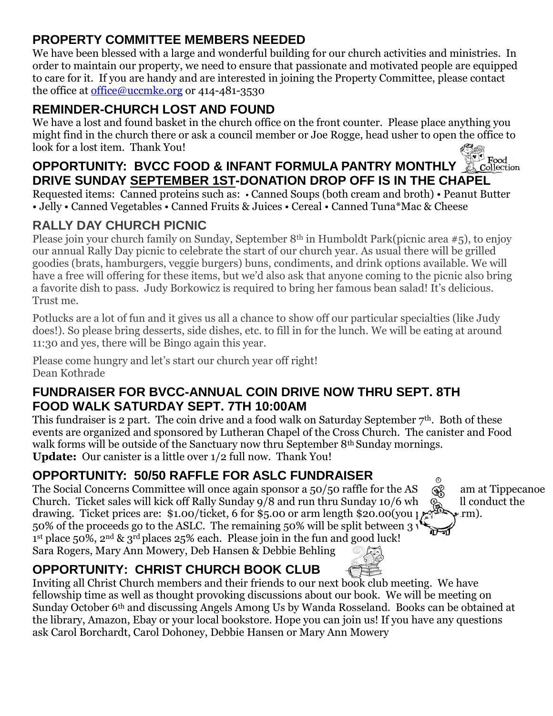### **PROPERTY COMMITTEE MEMBERS NEEDED**

We have been blessed with a large and wonderful building for our church activities and ministries. In order to maintain our property, we need to ensure that passionate and motivated people are equipped to care for it. If you are handy and are interested in joining the Property Committee, please contact the office at [office@uccmke.org](mailto:office@uccmke.org) or 414-481-3530

### **REMINDER-CHURCH LOST AND FOUND**

We have a lost and found basket in the church office on the front counter. Please place anything you might find in the church there or ask a council member or Joe Rogge, head usher to open the office to look for a lost item. Thank You!

#### S<sup>ovel</sup> Food<br>A Collection **OPPORTUNITY: BVCC FOOD & INFANT FORMULA PANTRY MONTHLY DRIVE SUNDAY SEPTEMBER 1ST-DONATION DROP OFF IS IN THE CHAPEL**

Requested items: Canned proteins such as: • Canned Soups (both cream and broth) • Peanut Butter • Jelly • Canned Vegetables • Canned Fruits & Juices • Cereal • Canned Tuna\*Mac & Cheese

## **RALLY DAY CHURCH PICNIC**

Please join your church family on Sunday, September 8th in Humboldt Park(picnic area #5), to enjoy our annual Rally Day picnic to celebrate the start of our church year. As usual there will be grilled goodies (brats, hamburgers, veggie burgers) buns, condiments, and drink options available. We will have a free will offering for these items, but we'd also ask that anyone coming to the picnic also bring a favorite dish to pass. Judy Borkowicz is required to bring her famous bean salad! It's delicious. Trust me.

Potlucks are a lot of fun and it gives us all a chance to show off our particular specialties (like Judy does!). So please bring desserts, side dishes, etc. to fill in for the lunch. We will be eating at around 11:30 and yes, there will be Bingo again this year.

Please come hungry and let's start our church year off right! Dean Kothrade

### **FUNDRAISER FOR BVCC-ANNUAL COIN DRIVE NOW THRU SEPT. 8TH FOOD WALK SATURDAY SEPT. 7TH 10:00AM**

This fundraiser is 2 part. The coin drive and a food walk on Saturday September  $7<sup>th</sup>$ . Both of these events are organized and sponsored by Lutheran Chapel of the Cross Church. The canister and Food walk forms will be outside of the Sanctuary now thru September 8<sup>th</sup> Sunday mornings. **Update:** Our canister is a little over 1/2 full now. Thank You!

## **OPPORTUNITY: 50/50 RAFFLE FOR ASLC FUNDRAISER**

The Social Concerns Committee will once again sponsor a 50/50 raffle for the AS  $\mathcal{R}^{\circ}$  am at Tippecanoe Church. Ticket sales will kick off Rally Sunday  $9/8$  and run thru Sunday  $10/6$  when  $\sum_{\text{m}}$  Il conduct the drawing. Ticket prices are: \$1.00/ticket, 6 for \$5.00 or arm length \$20.00(you produce  $\gamma$  rm). 50% of the proceeds go to the ASLC. The remaining 50% will be split between 3 1 st place 50%, 2nd & 3rd places 25% each. Please join in the fun and good luck! Sara Rogers, Mary Ann Mowery, Deb Hansen & Debbie Behling

## **OPPORTUNITY: CHRIST CHURCH BOOK CLUB**

Inviting all Christ Church members and their friends to our next book club meeting. We have fellowship time as well as thought provoking discussions about our book. We will be meeting on Sunday October 6th and discussing Angels Among Us by Wanda Rosseland. Books can be obtained at the library, Amazon, Ebay or your local bookstore. Hope you can join us! If you have any questions ask Carol Borchardt, Carol Dohoney, Debbie Hansen or Mary Ann Mowery

 $\odot$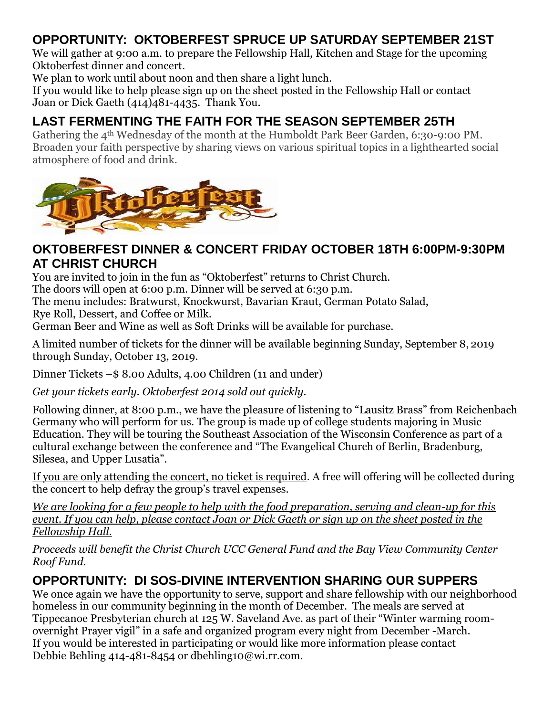### **OPPORTUNITY: OKTOBERFEST SPRUCE UP SATURDAY SEPTEMBER 21ST**

We will gather at 9:00 a.m. to prepare the Fellowship Hall, Kitchen and Stage for the upcoming Oktoberfest dinner and concert.

We plan to work until about noon and then share a light lunch.

If you would like to help please sign up on the sheet posted in the Fellowship Hall or contact Joan or Dick Gaeth (414)481-4435. Thank You.

## **LAST FERMENTING THE FAITH FOR THE SEASON SEPTEMBER 25TH**

Gathering the 4<sup>th</sup> Wednesday of the month at the Humboldt Park Beer Garden, 6:30-9:00 PM. Broaden your faith perspective by sharing views on various spiritual topics in a lighthearted social atmosphere of food and drink.



### **OKTOBERFEST DINNER & CONCERT FRIDAY OCTOBER 18TH 6:00PM-9:30PM AT CHRIST CHURCH**

You are invited to join in the fun as "Oktoberfest" returns to Christ Church.

The doors will open at 6:00 p.m. Dinner will be served at 6:30 p.m.

The menu includes: Bratwurst, Knockwurst, Bavarian Kraut, German Potato Salad,

Rye Roll, Dessert, and Coffee or Milk.

German Beer and Wine as well as Soft Drinks will be available for purchase.

A limited number of tickets for the dinner will be available beginning Sunday, September 8, 2019 through Sunday, October 13, 2019.

Dinner Tickets –\$ 8.00 Adults, 4.00 Children (11 and under)

*Get your tickets early. Oktoberfest 2014 sold out quickly.* 

Following dinner, at 8:00 p.m., we have the pleasure of listening to "Lausitz Brass" from Reichenbach Germany who will perform for us. The group is made up of college students majoring in Music Education. They will be touring the Southeast Association of the Wisconsin Conference as part of a cultural exchange between the conference and "The Evangelical Church of Berlin, Bradenburg, Silesea, and Upper Lusatia".

If you are only attending the concert, no ticket is required. A free will offering will be collected during the concert to help defray the group's travel expenses.

*We are looking for a few people to help with the food preparation, serving and clean-up for this event. If you can help, please contact Joan or Dick Gaeth or sign up on the sheet posted in the Fellowship Hall.*

*Proceeds will benefit the Christ Church UCC General Fund and the Bay View Community Center Roof Fund.*

### **OPPORTUNITY: DI SOS-DIVINE INTERVENTION SHARING OUR SUPPERS**

We once again we have the opportunity to serve, support and share fellowship with our neighborhood homeless in our community beginning in the month of December. The meals are served at Tippecanoe Presbyterian church at 125 W. Saveland Ave. as part of their "Winter warming roomovernight Prayer vigil" in a safe and organized program every night from December -March. If you would be interested in participating or would like more information please contact Debbie Behling 414-481-8454 or dbehling10@wi.rr.com.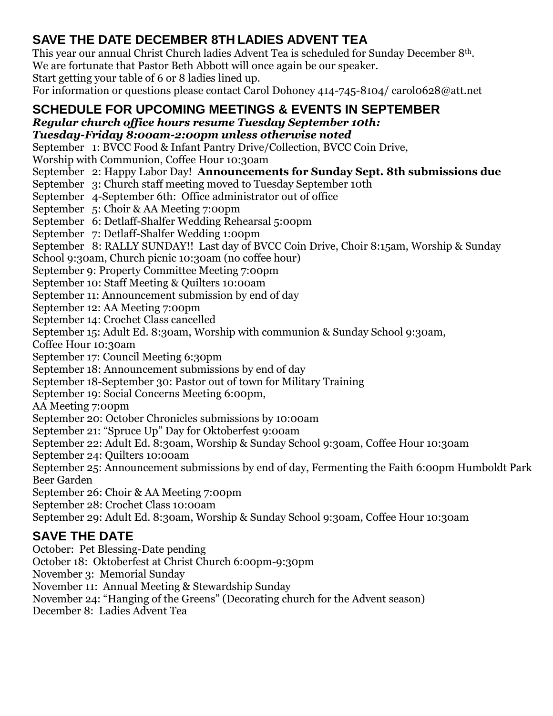## **SAVE THE DATE DECEMBER 8TH LADIES ADVENT TEA**

This year our annual Christ Church ladies Advent Tea is scheduled for Sunday December 8th.

We are fortunate that Pastor Beth Abbott will once again be our speaker.

Start getting your table of 6 or 8 ladies lined up.

For information or questions please contact Carol Dohoney 414-745-8104/ carol0628@att.net

# **SCHEDULE FOR UPCOMING MEETINGS & EVENTS IN SEPTEMBER**

*Regular church office hours resume Tuesday September 10th:* 

*Tuesday-Friday 8:00am-2:00pm unless otherwise noted*

September 1: BVCC Food & Infant Pantry Drive/Collection, BVCC Coin Drive,

Worship with Communion, Coffee Hour 10:30am

September 2: Happy Labor Day! **Announcements for Sunday Sept. 8th submissions due**

September 3: Church staff meeting moved to Tuesday September 10th

September 4-September 6th: Office administrator out of office

September 5: Choir & AA Meeting 7:00pm

September 6: Detlaff-Shalfer Wedding Rehearsal 5:00pm

September 7: Detlaff-Shalfer Wedding 1:00pm

September 8: RALLY SUNDAY!! Last day of BVCC Coin Drive, Choir 8:15am, Worship & Sunday

School 9:30am, Church picnic 10:30am (no coffee hour)

September 9: Property Committee Meeting 7:00pm

September 10: Staff Meeting & Quilters 10:00am

September 11: Announcement submission by end of day

September 12: AA Meeting 7:00pm

September 14: Crochet Class cancelled

September 15: Adult Ed. 8:30am, Worship with communion & Sunday School 9:30am,

Coffee Hour 10:30am

September 17: Council Meeting 6:30pm

September 18: Announcement submissions by end of day

September 18-September 30: Pastor out of town for Military Training

September 19: Social Concerns Meeting 6:00pm.

AA Meeting 7:00pm

September 20: October Chronicles submissions by 10:00am

September 21: "Spruce Up" Day for Oktoberfest 9:00am

September 22: Adult Ed. 8:30am, Worship & Sunday School 9:30am, Coffee Hour 10:30am

September 24: Quilters 10:00am

September 25: Announcement submissions by end of day, Fermenting the Faith 6:00pm Humboldt Park Beer Garden

September 26: Choir & AA Meeting 7:00pm

September 28: Crochet Class 10:00am

September 29: Adult Ed. 8:30am, Worship & Sunday School 9:30am, Coffee Hour 10:30am

# **SAVE THE DATE**

October: Pet Blessing-Date pending October 18: Oktoberfest at Christ Church 6:00pm-9:30pm November 3: Memorial Sunday November 11: Annual Meeting & Stewardship Sunday November 24: "Hanging of the Greens" (Decorating church for the Advent season) December 8: Ladies Advent Tea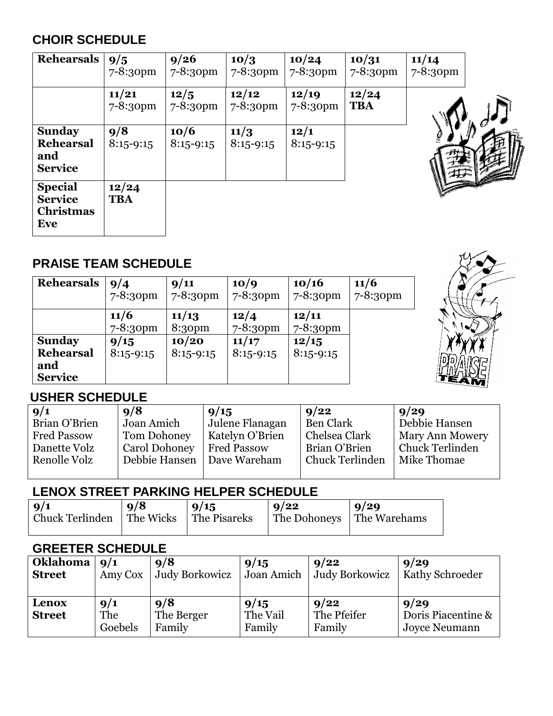### **CHOIR SCHEDULE**

| <b>Rehearsals</b>                                           | 9/5<br>$7 - 8:30$ pm | 9/26<br>$7 - 8:30$ pm | 10/3<br>$7 - 8:30$ pm  | 10/24<br>7-8:30pm     | 10/31<br>$7 - 8:30$ pm | 11/14<br>$7 - 8:30$ pm |  |
|-------------------------------------------------------------|----------------------|-----------------------|------------------------|-----------------------|------------------------|------------------------|--|
|                                                             | 11/21<br>7-8:30pm    | 12/5<br>$7 - 8:30$ pm | 12/12<br>$7 - 8:30$ pm | 12/19<br>7-8:30pm     | 12/24<br><b>TBA</b>    |                        |  |
| <b>Sunday</b><br><b>Rehearsal</b><br>and<br><b>Service</b>  | 9/8<br>$8:15 - 9:15$ | 10/6<br>$8:15 - 9:15$ | 11/3<br>$8:15 - 9:15$  | 12/1<br>$8:15 - 9:15$ |                        |                        |  |
| <b>Special</b><br><b>Service</b><br><b>Christmas</b><br>Eve | 12/24<br><b>TBA</b>  |                       |                        |                       |                        |                        |  |

### **PRAISE TEAM SCHEDULE**

| <b>Rehearsals</b>                                          | 9/4<br>$7 - 8:30pm$   | 9/11<br>$7 - 8:30$ pm       | 10/9<br>$7 - 8:30$ pm  | 10/16<br>7-8:30pm      | 11/6<br>$7 - 8:30$ pm |
|------------------------------------------------------------|-----------------------|-----------------------------|------------------------|------------------------|-----------------------|
|                                                            | 11/6<br>$7 - 8:30$ pm | 11/13<br>8:30 <sub>pm</sub> | 12/4<br>$7 - 8:30$ pm  | 12/11<br>$7 - 8:30$ pm |                       |
| <b>Sunday</b><br><b>Rehearsal</b><br>and<br><b>Service</b> | 9/15<br>$8:15 - 9:15$ | 10/20<br>$8:15-9:15$        | 11/17<br>$8:15 - 9:15$ | 12/15<br>$8:15-9:15$   |                       |



### **USHER SCHEDULE**

| 9/1                | 9/8           | 9/15            | 9/22             | 9/29                   |
|--------------------|---------------|-----------------|------------------|------------------------|
| Brian O'Brien      | Joan Amich    | Julene Flanagan | <b>Ben Clark</b> | Debbie Hansen          |
| <b>Fred Passow</b> | Tom Dohoney   | Katelyn O'Brien | Chelsea Clark    | Mary Ann Mowery        |
| Danette Volz       | Carol Dohoney | Fred Passow     | Brian O'Brien    | <b>Chuck Terlinden</b> |
| Renolle Volz       | Debbie Hansen | Dave Wareham    | Chuck Terlinden  | ∣ Mike Thomae          |
|                    |               |                 |                  |                        |

### **LENOX STREET PARKING HELPER SCHEDULE**

| $\vert \mathbf{9}/\mathbf{1} \vert$<br>Chuck Terlinden The Wicks The Pisareks | q/8 | 19/15 | 9/22 | $\vert 9/29 \vert$<br>The Dohoneys   The Warehams |
|-------------------------------------------------------------------------------|-----|-------|------|---------------------------------------------------|
|                                                                               |     |       |      |                                                   |

### **GREETER SCHEDULE**

| <b>Oklahoma</b>        | 9/1                   | 9/8                         | 9/15                       | 9/22                          | 9/29                                               |
|------------------------|-----------------------|-----------------------------|----------------------------|-------------------------------|----------------------------------------------------|
| <b>Street</b>          | Amy Cox               | <b>Judy Borkowicz</b>       | Joan Amich                 | <b>Judy Borkowicz</b>         | <b>Kathy Schroeder</b>                             |
| Lenox<br><b>Street</b> | 9/1<br>The<br>Goebels | 9/8<br>The Berger<br>Family | 9/15<br>The Vail<br>Family | 9/22<br>The Pfeifer<br>Family | 9/29<br>Doris Piacentine &<br><b>Joyce Neumann</b> |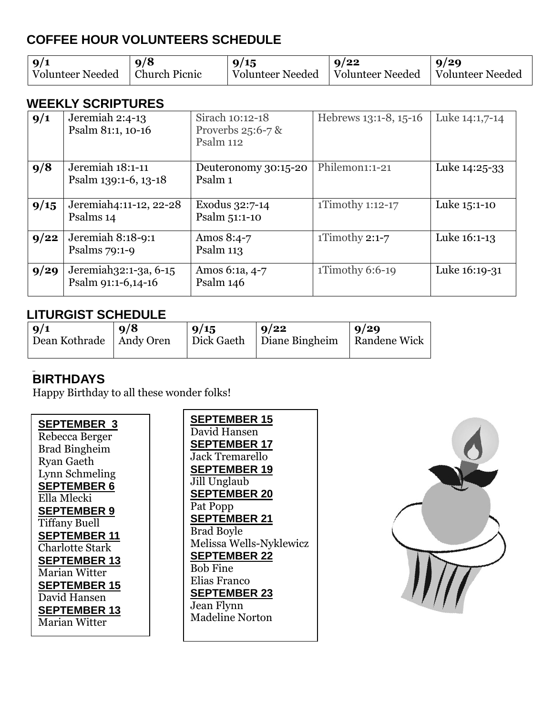### **COFFEE HOUR VOLUNTEERS SCHEDULE**

| $\frac{9}{1}$    | $\frac{9}{8}$ | 9/15                                | 9/22 | 9/29                    |
|------------------|---------------|-------------------------------------|------|-------------------------|
| Volunteer Needed | Church Picnic | Volunteer Needed   Volunteer Needed |      | <b>Solunteer Needed</b> |

#### **WEEKLY SCRIPTURES**

| 9/1  | Jeremiah 2:4-13<br>Psalm 81:1, 10-16        | Sirach 10:12-18<br>Proverbs $25:6-7$ &<br>Psalm 112 | Hebrews 13:1-8, 15-16      | Luke 14:1,7-14 |
|------|---------------------------------------------|-----------------------------------------------------|----------------------------|----------------|
| 9/8  | Jeremiah 18:1-11<br>Psalm 139:1-6, 13-18    | Deuteronomy 30:15-20<br>Psalm 1                     | Philemon <sub>1:1-21</sub> | Luke 14:25-33  |
| 9/15 | Jeremiah4:11-12, 22-28<br>Psalms 14         | Exodus 32:7-14<br>Psalm 51:1-10                     | 1Timothy 1:12-17           | Luke 15:1-10   |
| 9/22 | Jeremiah 8:18-9:1<br>Psalms $79:1-9$        | Amos 8:4-7<br>Psalm $113$                           | 1Timothy 2:1-7             | Luke 16:1-13   |
| 9/29 | Jeremiah32:1-3a, 6-15<br>Psalm 91:1-6,14-16 | Amos 6:1a, 4-7<br>Psalm 146                         | 1Timothy 6:6-19            | Luke 16:19-31  |

### **LITURGIST SCHEDULE**

| 9/1<br>Dean Kothrade   Andy Oren | q/8 | 9/15 | 9/22<br>Dick Gaeth   Diane Bingheim   Randene Wick | $\vert 9/29 \vert$ |
|----------------------------------|-----|------|----------------------------------------------------|--------------------|
|                                  |     |      |                                                    |                    |

### **BIRTHDAYS**

Happy Birthday to all these wonder folks!

**SEPTEMBER 3** Rebecca Berger Brad Bingheim Ryan Gaeth Lynn Schmeling **SEPTEMBER 6** Ella Mlecki **SEPTEMBER 9**  Tiffany Buell **SEPTEMBER 11** Charlotte Stark **SEPTEMBER 13** Marian Witter **SEPTEMBER 15** David Hansen **SEPTEMBER 13** Marian Witter

**SEPTEMBER 15** David Hansen **SEPTEMBER 17** Jack Tremarello **SEPTEMBER 19** Jill Unglaub **SEPTEMBER 20** Pat Popp **SEPTEMBER 21** Brad Boyle Melissa Wells-Nyklewicz **SEPTEMBER 22** Bob Fine Elias Franco **SEPTEMBER 23** Jean Flynn Madeline Norton

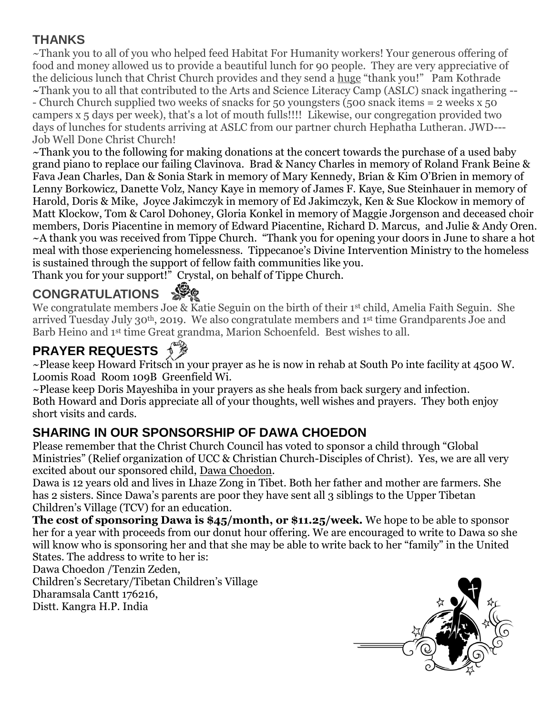### **THANKS**

~Thank you to all of you who helped feed Habitat For Humanity workers! Your generous offering of food and money allowed us to provide a beautiful lunch for 90 people. They are very appreciative of the delicious lunch that Christ Church provides and they send a huge "thank you!" Pam Kothrade ~Thank you to all that contributed to the Arts and Science Literacy Camp (ASLC) snack ingathering -- - Church Church supplied two weeks of snacks for 50 youngsters (500 snack items = 2 weeks x 50 campers x 5 days per week), that's a lot of mouth fulls!!!! Likewise, our congregation provided two days of lunches for students arriving at ASLC from our partner church Hephatha Lutheran. JWD--- Job Well Done Christ Church!

~Thank you to the following for making donations at the concert towards the purchase of a used baby grand piano to replace our failing Clavinova. Brad & Nancy Charles in memory of Roland Frank Beine & Fava Jean Charles, Dan & Sonia Stark in memory of Mary Kennedy, Brian & Kim O'Brien in memory of Lenny Borkowicz, Danette Volz, Nancy Kaye in memory of James F. Kaye, Sue Steinhauer in memory of Harold, Doris & Mike, Joyce Jakimczyk in memory of Ed Jakimczyk, Ken & Sue Klockow in memory of Matt Klockow, Tom & Carol Dohoney, Gloria Konkel in memory of Maggie Jorgenson and deceased choir members, Doris Piacentine in memory of Edward Piacentine, Richard D. Marcus, and Julie & Andy Oren. ~A thank you was received from Tippe Church. "Thank you for opening your doors in June to share a hot meal with those experiencing homelessness. Tippecanoe's Divine Intervention Ministry to the homeless is sustained through the support of fellow faith communities like you.

Thank you for your support!" Crystal, on behalf of Tippe Church.

# **CONGRATULATIONS**

We congratulate members Joe & Katie Seguin on the birth of their 1<sup>st</sup> child, Amelia Faith Seguin. She arrived Tuesday July 30th, 2019. We also congratulate members and 1 st time Grandparents Joe and Barb Heino and 1st time Great grandma, Marion Schoenfeld. Best wishes to all.

# **PRAYER REQUESTS**

~Please keep Howard Fritsch in your prayer as he is now in rehab at South Po inte facility at 4500 W. Loomis Road Room 109B Greenfield Wi.

~Please keep Doris Mayeshiba in your prayers as she heals from back surgery and infection. Both Howard and Doris appreciate all of your thoughts, well wishes and prayers. They both enjoy short visits and cards.

### **SHARING IN OUR SPONSORSHIP OF DAWA CHOEDON**

Please remember that the Christ Church Council has voted to sponsor a child through "Global Ministries" (Relief organization of UCC & Christian Church-Disciples of Christ). Yes, we are all very excited about our sponsored child, Dawa Choedon.

Dawa is 12 years old and lives in Lhaze Zong in Tibet. Both her father and mother are farmers. She has 2 sisters. Since Dawa's parents are poor they have sent all 3 siblings to the Upper Tibetan Children's Village (TCV) for an education.

**The cost of sponsoring Dawa is \$45/month, or \$11.25/week.** We hope to be able to sponsor her for a year with proceeds from our donut hour offering. We are encouraged to write to Dawa so she will know who is sponsoring her and that she may be able to write back to her "family" in the United States. The address to write to her is:

Dawa Choedon /Tenzin Zeden,

Children's Secretary/Tibetan Children's Village Dharamsala Cantt 176216, Distt. Kangra H.P. India